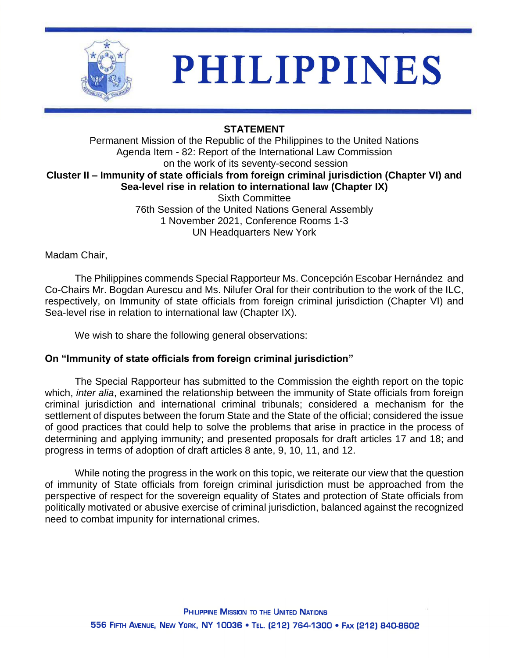

## **PHILIPPINES**

## **STATEMENT**

Permanent Mission of the Republic of the Philippines to the United Nations Agenda Item - 82: Report of the International Law Commission on the work of its seventy-second session **Cluster II – Immunity of state officials from foreign criminal jurisdiction (Chapter VI) and Sea-level rise in relation to international law (Chapter IX)** Sixth Committee 76th Session of the United Nations General Assembly 1 November 2021, Conference Rooms 1-3 UN Headquarters New York

Madam Chair,

The Philippines commends Special Rapporteur Ms. Concepción Escobar Hernández and Co-Chairs Mr. Bogdan Aurescu and Ms. Nilufer Oral for their contribution to the work of the ILC, respectively, on Immunity of state officials from foreign criminal jurisdiction (Chapter VI) and Sea-level rise in relation to international law (Chapter IX).

We wish to share the following general observations:

## **On "Immunity of state officials from foreign criminal jurisdiction"**

The Special Rapporteur has submitted to the Commission the eighth report on the topic which, *inter alia*, examined the relationship between the immunity of State officials from foreign criminal jurisdiction and international criminal tribunals; considered a mechanism for the settlement of disputes between the forum State and the State of the official; considered the issue of good practices that could help to solve the problems that arise in practice in the process of determining and applying immunity; and presented proposals for draft articles 17 and 18; and progress in terms of adoption of draft articles 8 ante, 9, 10, 11, and 12.

While noting the progress in the work on this topic, we reiterate our view that the question of immunity of State officials from foreign criminal jurisdiction must be approached from the perspective of respect for the sovereign equality of States and protection of State officials from politically motivated or abusive exercise of criminal jurisdiction, balanced against the recognized need to combat impunity for international crimes.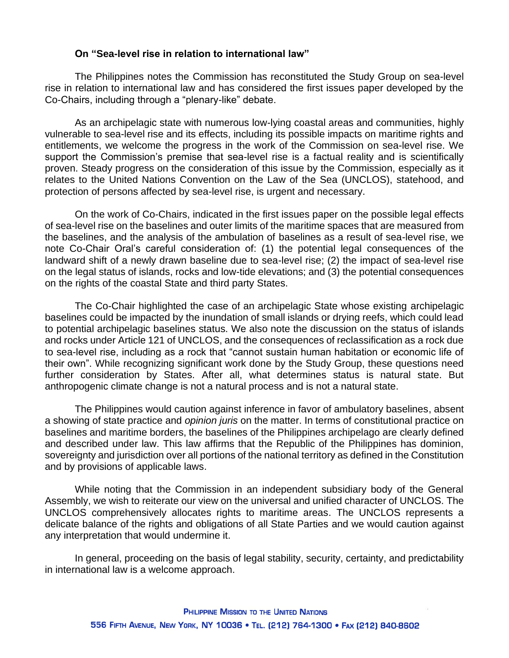## **On "Sea-level rise in relation to international law"**

The Philippines notes the Commission has reconstituted the Study Group on sea-level rise in relation to international law and has considered the first issues paper developed by the Co-Chairs, including through a "plenary-like" debate.

As an archipelagic state with numerous low-lying coastal areas and communities, highly vulnerable to sea-level rise and its effects, including its possible impacts on maritime rights and entitlements, we welcome the progress in the work of the Commission on sea-level rise. We support the Commission's premise that sea-level rise is a factual reality and is scientifically proven. Steady progress on the consideration of this issue by the Commission, especially as it relates to the United Nations Convention on the Law of the Sea (UNCLOS), statehood, and protection of persons affected by sea-level rise, is urgent and necessary.

On the work of Co-Chairs, indicated in the first issues paper on the possible legal effects of sea-level rise on the baselines and outer limits of the maritime spaces that are measured from the baselines, and the analysis of the ambulation of baselines as a result of sea-level rise, we note Co-Chair Oral's careful consideration of: (1) the potential legal consequences of the landward shift of a newly drawn baseline due to sea-level rise; (2) the impact of sea-level rise on the legal status of islands, rocks and low-tide elevations; and (3) the potential consequences on the rights of the coastal State and third party States.

The Co-Chair highlighted the case of an archipelagic State whose existing archipelagic baselines could be impacted by the inundation of small islands or drying reefs, which could lead to potential archipelagic baselines status. We also note the discussion on the status of islands and rocks under Article 121 of UNCLOS, and the consequences of reclassification as a rock due to sea-level rise, including as a rock that "cannot sustain human habitation or economic life of their own". While recognizing significant work done by the Study Group, these questions need further consideration by States. After all, what determines status is natural state. But anthropogenic climate change is not a natural process and is not a natural state.

The Philippines would caution against inference in favor of ambulatory baselines, absent a showing of state practice and *opinion juris* on the matter. In terms of constitutional practice on baselines and maritime borders, the baselines of the Philippines archipelago are clearly defined and described under law. This law affirms that the Republic of the Philippines has dominion, sovereignty and jurisdiction over all portions of the national territory as defined in the Constitution and by provisions of applicable laws.

While noting that the Commission in an independent subsidiary body of the General Assembly, we wish to reiterate our view on the universal and unified character of UNCLOS. The UNCLOS comprehensively allocates rights to maritime areas. The UNCLOS represents a delicate balance of the rights and obligations of all State Parties and we would caution against any interpretation that would undermine it.

In general, proceeding on the basis of legal stability, security, certainty, and predictability in international law is a welcome approach.